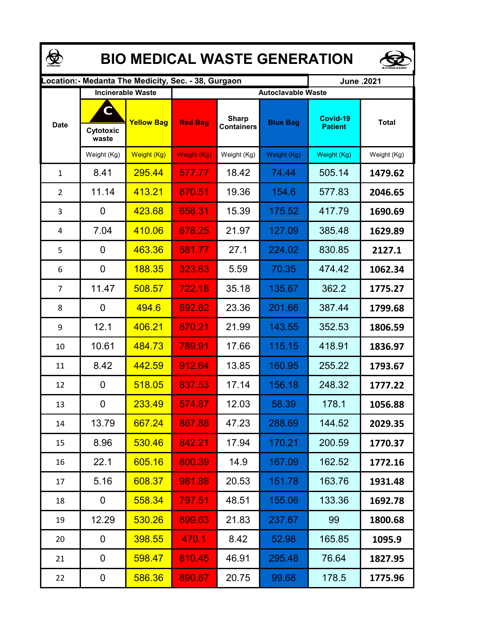| <b>BIO MEDICAL WASTE GENERATION</b> |                         |                          |                                                      |                                   |                 |                            |              |  |  |  |  |
|-------------------------------------|-------------------------|--------------------------|------------------------------------------------------|-----------------------------------|-----------------|----------------------------|--------------|--|--|--|--|
|                                     |                         |                          | Location: - Medanta The Medicity, Sec. - 38, Gurgaon |                                   |                 | June .2021                 |              |  |  |  |  |
|                                     |                         | <b>Incinerable Waste</b> | <b>Autoclavable Waste</b>                            |                                   |                 |                            |              |  |  |  |  |
| <b>Date</b>                         | C<br>Cytotoxic<br>waste | <b>Yellow Bag</b>        | <b>Red Bag</b>                                       | <b>Sharp</b><br><b>Containers</b> | <b>Blue Bag</b> | Covid-19<br><b>Patient</b> | <b>Total</b> |  |  |  |  |
|                                     | Weight (Kg)             | Weight (Kg)              | Weight (Kg)                                          | Weight (Kg)                       | Weight (Kg)     | Weight (Kg)                | Weight (Kg)  |  |  |  |  |
| $\mathbf{1}$                        | 8.41                    | 295.44                   | 577.77                                               | 18.42                             | 74.44           | 505.14                     | 1479.62      |  |  |  |  |
| $\overline{2}$                      | 11.14                   | 413.21                   | 870.51                                               | 19.36                             | 154.6           | 577.83                     | 2046.65      |  |  |  |  |
| 3                                   | 0                       | 423.68                   | 658.31                                               | 15.39                             | 175.52          | 417.79                     | 1690.69      |  |  |  |  |
| 4                                   | 7.04                    | 410.06                   | 678.25                                               | 21.97                             | 127.09          | 385.48                     | 1629.89      |  |  |  |  |
| 5                                   | 0                       | 463.36                   | 581.77                                               | 27.1                              | 224.02          | 830.85                     | 2127.1       |  |  |  |  |
| 6                                   | $\mathbf 0$             | 188.35                   | 323.63                                               | 5.59                              | 70.35           | 474.42                     | 1062.34      |  |  |  |  |
| 7                                   | 11.47                   | 508.57                   | 722.18                                               | 35.18                             | 135.67          | 362.2                      | 1775.27      |  |  |  |  |
| 8                                   | 0                       | 494.6                    | 692.62                                               | 23.36                             | 201.66          | 387.44                     | 1799.68      |  |  |  |  |
| 9                                   | 12.1                    | 406.21                   | 870.21                                               | 21.99                             | 143.55          | 352.53                     | 1806.59      |  |  |  |  |
| 10                                  | 10.61                   | 484.73                   | 789.91                                               | 17.66                             | 115.15          | 418.91                     | 1836.97      |  |  |  |  |
| 11                                  | 8.42                    | 442.59                   | 912.64                                               | 13.85                             | 160.95          | 255.22                     | 1793.67      |  |  |  |  |
| 12                                  | 0                       | 518.05                   | 837.53                                               | 17.14                             | 156.18          | 248.32                     | 1777.22      |  |  |  |  |
| 13                                  | 0                       | 233.49                   | 574.87                                               | 12.03                             | 58.39           | 178.1                      | 1056.88      |  |  |  |  |
| 14                                  | 13.79                   | 667.24                   | 867.88                                               | 47.23                             | 288.69          | 144.52                     | 2029.35      |  |  |  |  |
| 15                                  | 8.96                    | 530.46                   | 842.21                                               | 17.94                             | 170.21          | 200.59                     | 1770.37      |  |  |  |  |
| 16                                  | 22.1                    | 605.16                   | 800.39                                               | 14.9                              | 167.09          | 162.52                     | 1772.16      |  |  |  |  |
| 17                                  | 5.16                    | 608.37                   | 981.88                                               | 20.53                             | 151.78          | 163.76                     | 1931.48      |  |  |  |  |
| 18                                  | 0                       | 558.34                   | 797.51                                               | 48.51                             | 155.06          | 133.36                     | 1692.78      |  |  |  |  |
| 19                                  | 12.29                   | 530.26                   | 899.63                                               | 21.83                             | 237.67          | 99                         | 1800.68      |  |  |  |  |
| 20                                  | 0                       | 398.55                   | 470.1                                                | 8.42                              | 52.98           | 165.85                     | 1095.9       |  |  |  |  |
| 21                                  | 0                       | 598.47                   | 810.45                                               | 46.91                             | 295.48          | 76.64                      | 1827.95      |  |  |  |  |
| 22                                  | 0                       | 586.36                   | 890.67                                               | 20.75                             | 99.68           | 178.5                      | 1775.96      |  |  |  |  |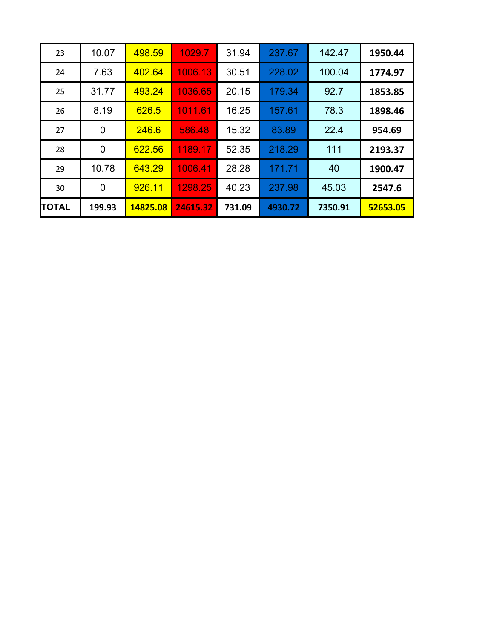| 23           | 10.07       | 498.59   | 1029.7   | 31.94  | 237.67  | 142.47  | 1950.44  |
|--------------|-------------|----------|----------|--------|---------|---------|----------|
| 24           | 7.63        | 402.64   | 1006.13  | 30.51  | 228.02  | 100.04  | 1774.97  |
| 25           | 31.77       | 493.24   | 1036.65  | 20.15  | 179.34  | 92.7    | 1853.85  |
| 26           | 8.19        | 626.5    | 1011.61  | 16.25  | 157.61  | 78.3    | 1898.46  |
| 27           | 0           | 246.6    | 586.48   | 15.32  | 83.89   | 22.4    | 954.69   |
| 28           | $\mathbf 0$ | 622.56   | 1189.17  | 52.35  | 218.29  | 111     | 2193.37  |
| 29           | 10.78       | 643.29   | 1006.41  | 28.28  | 171.71  | 40      | 1900.47  |
| 30           | $\mathbf 0$ | 926.11   | 1298.25  | 40.23  | 237.98  | 45.03   | 2547.6   |
| <b>TOTAL</b> | 199.93      | 14825.08 | 24615.32 | 731.09 | 4930.72 | 7350.91 | 52653.05 |